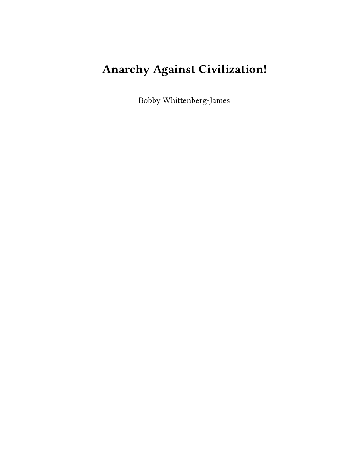# **Anarchy Against Civilization!**

Bobby Whittenberg-James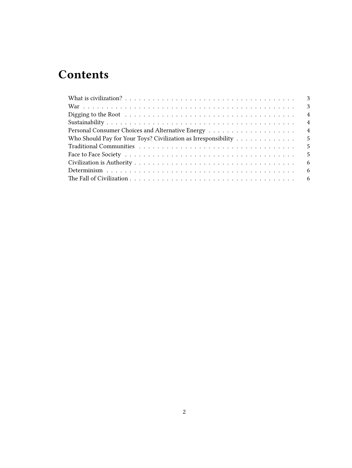# **Contents**

| $\overline{\phantom{a}3}$                                                                |                |
|------------------------------------------------------------------------------------------|----------------|
|                                                                                          | 3              |
|                                                                                          | $\overline{4}$ |
|                                                                                          | $\overline{4}$ |
|                                                                                          | $\overline{4}$ |
| Who Should Pay for Your Toys? Civilization as Irresponsibility $\dots \dots \dots \dots$ | -5             |
| $-5$                                                                                     |                |
|                                                                                          | -5             |
|                                                                                          | 6              |
|                                                                                          | -6             |
|                                                                                          |                |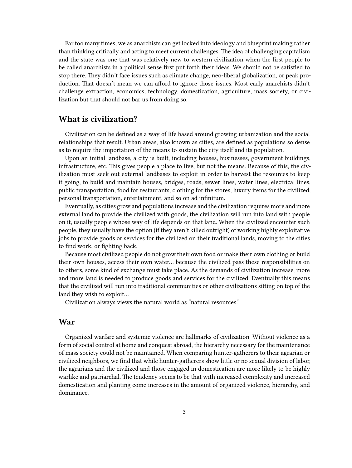Far too many times, we as anarchists can get locked into ideology and blueprint making rather than thinking critically and acting to meet current challenges. The idea of challenging capitalism and the state was one that was relatively new to western civilization when the first people to be called anarchists in a political sense first put forth their ideas. We should not be satisfied to stop there. They didn't face issues such as climate change, neo-liberal globalization, or peak production. That doesn't mean we can afford to ignore those issues. Most early anarchists didn't challenge extraction, economics, technology, domestication, agriculture, mass society, or civilization but that should not bar us from doing so.

#### <span id="page-2-0"></span>**What is civilization?**

Civilization can be defined as a way of life based around growing urbanization and the social relationships that result. Urban areas, also known as cities, are defined as populations so dense as to require the importation of the means to sustain the city itself and its population.

Upon an initial landbase, a city is built, including houses, businesses, government buildings, infrastructure, etc. This gives people a place to live, but not the means. Because of this, the civilization must seek out external landbases to exploit in order to harvest the resources to keep it going, to build and maintain houses, bridges, roads, sewer lines, water lines, electrical lines, public transportation, food for restaurants, clothing for the stores, luxury items for the civilized, personal transportation, entertainment, and so on ad infinitum.

Eventually, as cities grow and populations increase and the civilization requires more and more external land to provide the civilized with goods, the civilization will run into land with people on it, usually people whose way of life depends on that land. When the civilized encounter such people, they usually have the option (if they aren't killed outright) of working highly exploitative jobs to provide goods or services for the civilized on their traditional lands, moving to the cities to find work, or fighting back.

Because most civilized people do not grow their own food or make their own clothing or build their own houses, access their own water… because the civilized pass these responsibilities on to others, some kind of exchange must take place. As the demands of civilization increase, more and more land is needed to produce goods and services for the civilized. Eventually this means that the civilized will run into traditional communities or other civilizations sitting on top of the land they wish to exploit…

Civilization always views the natural world as "natural resources."

#### <span id="page-2-1"></span>**War**

Organized warfare and systemic violence are hallmarks of civilization. Without violence as a form of social control at home and conquest abroad, the hierarchy necessary for the maintenance of mass society could not be maintained. When comparing hunter-gatherers to their agrarian or civilized neighbors, we find that while hunter-gatherers show little or no sexual division of labor, the agrarians and the civilized and those engaged in domestication are more likely to be highly warlike and patriarchal. The tendency seems to be that with increased complexity and increased domestication and planting come increases in the amount of organized violence, hierarchy, and dominance.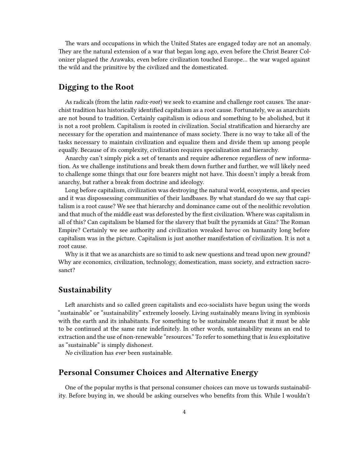The wars and occupations in which the United States are engaged today are not an anomaly. They are the natural extension of a war that began long ago, even before the Christ Bearer Colonizer plagued the Arawaks, even before civilization touched Europe… the war waged against the wild and the primitive by the civilized and the domesticated.

#### <span id="page-3-0"></span>**Digging to the Root**

As radicals (from the latin *radix-root*) we seek to examine and challenge root causes. The anarchist tradition has historically identified capitalism as a root cause. Fortunately, we as anarchists are not bound to tradition. Certainly capitalism is odious and something to be abolished, but it is not a root problem. Capitalism is rooted in civilization. Social stratification and hierarchy are necessary for the operation and maintenance of mass society. There is no way to take all of the tasks necessary to maintain civilization and equalize them and divide them up among people equally. Because of its complexity, civilization requires specialization and hierarchy.

Anarchy can't simply pick a set of tenants and require adherence regardless of new information. As we challenge institutions and break them down further and further, we will likely need to challenge some things that our fore bearers might not have. This doesn't imply a break from anarchy, but rather a break from doctrine and ideology.

Long before capitalism, civilization was destroying the natural world, ecosystems, and species and it was dispossessing communities of their landbases. By what standard do we say that capitalism is a root cause? We see that hierarchy and dominance came out of the neolithic revolution and that much of the middle east was deforested by the first civilization. Where was capitalism in all of this? Can capitalism be blamed for the slavery that built the pyramids at Giza? The Roman Empire? Certainly we see authority and civilization wreaked havoc on humanity long before capitalism was in the picture. Capitalism is just another manifestation of civilization. It is not a root cause.

Why is it that we as anarchists are so timid to ask new questions and tread upon new ground? Why are economics, civilization, technology, domestication, mass society, and extraction sacrosanct?

#### <span id="page-3-1"></span>**Sustainability**

Left anarchists and so called green capitalists and eco-socialists have begun using the words "sustainable" or "sustainability" extremely loosely. Living sustainably means living in symbiosis with the earth and its inhabitants. For something to be sustainable means that it must be able to be continued at the same rate indefinitely. In other words, sustainability means an end to extraction and the use of non-renewable "resources." To refer to something that is*less* exploitative as "sustainable" is simply dishonest.

*No* civilization has *ever* been sustainable.

#### <span id="page-3-2"></span>**Personal Consumer Choices and Alternative Energy**

One of the popular myths is that personal consumer choices can move us towards sustainability. Before buying in, we should be asking ourselves who benefits from this. While I wouldn't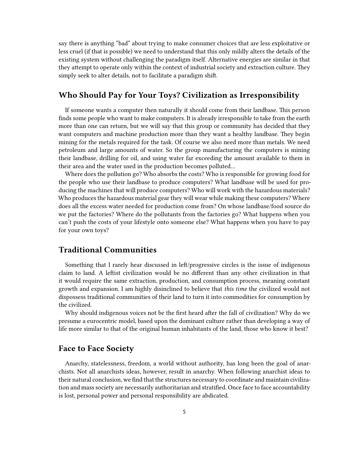say there is anything "bad" about trying to make consumer choices that are less exploitative or less cruel (if that is possible) we need to understand that this only mildly alters the details of the existing system without challenging the paradigm itself. Alternative energies are similar in that they attempt to operate only within the context of industrial society and extraction culture. They simply seek to alter details, not to facilitate a paradigm shift.

#### <span id="page-4-0"></span>**Who Should Pay for Your Toys? Civilization as Irresponsibility**

If someone wants a computer then naturally it should come from their landbase. This person finds some people who want to make computers. It is already irresponsible to take from the earth more than one can return, but we will say that this group or community has decided that they want computers and machine production more than they want a healthy landbase. They begin mining for the metals required for the task. Of course we also need more than metals. We need petroleum and large amounts of water. So the group manufacturing the computers is mining their landbase, drilling for oil, and using water far exceeding the amount available to them in their area and the water used in the production becomes polluted…

Where does the pollution go? Who absorbs the costs? Who is responsible for growing food for the people who use their landbase to produce computers? What landbase will be used for producing the machines that will produce computers? Who will work with the hazardous materials? Who produces the hazardous material gear they will wear while making these computers? Where does all the excess water needed for production come from? On whose landbase/food source do we put the factories? Where do the pollutants from the factories go? What happens when you can't push the costs of your lifestyle onto someone else? What happens when you have to pay for your own toys?

#### <span id="page-4-1"></span>**Traditional Communities**

Something that I rarely hear discussed in left/progressive circles is the issue of indigenous claim to land. A leftist civilization would be no different than any other civilization in that it would require the same extraction, production, and consumption process, meaning constant growth and expansion. I am highly disinclined to believe that *this time* the civilized would not dispossess traditional communities of their land to turn it into commodities for consumption by the civilized.

Why should indigenous voices not be the first heard after the fall of civilization? Why do we presume a eurocentric model, based upon the dominant culture rather than developing a way of life more similar to that of the original human inhabitants of the land, those who know it best?

#### <span id="page-4-2"></span>**Face to Face Society**

Anarchy, statelessness, freedom, a world without authority, has long been the goal of anarchists. Not all anarchists ideas, however, result in anarchy. When following anarchist ideas to their natural conclusion, we find that the structures necessary to coordinate and maintain civilization and mass society are necessarily authoritarian and stratified. Once face to face accountability is lost, personal power and personal responsibility are abdicated.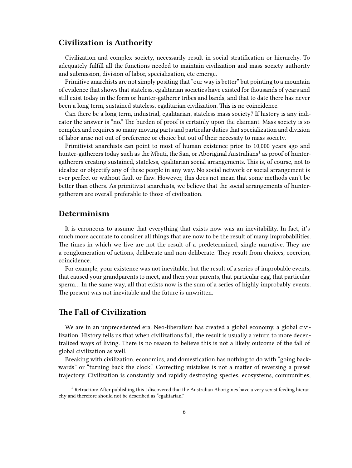#### <span id="page-5-0"></span>**Civilization is Authority**

Civilization and complex society, necessarily result in social stratification or hierarchy. To adequately fulfill all the functions needed to maintain civilization and mass society authority and submission, division of labor, specialization, etc emerge.

Primitive anarchists are not simply positing that "our way is better" but pointing to a mountain of evidence that shows that stateless, egalitarian societies have existed for thousands of years and still exist today in the form or hunter-gatherer tribes and bands, and that to date there has never been a long term, sustained stateless, egalitarian civilization. This is no coincidence.

Can there be a long term, industrial, egalitarian, stateless mass society? If history is any indicator the answer is "no." The burden of proof is certainly upon the claimant. Mass society is so complex and requires so many moving parts and particular duties that specialization and division of labor arise not out of preference or choice but out of their necessity to mass society.

Primitivist anarchists can point to most of human existence prior to 10,000 years ago and hunter-gatherers today such as the Mbuti, the San, or Aboriginal Australians $^1$  as proof of huntergatherers creating sustained, stateless, egalitarian social arrangements. This is, of course, not to idealize or objectify any of these people in any way. No social network or social arrangement is ever perfect or without fault or flaw. However, this does not mean that some methods can't be better than others. As primitivist anarchists, we believe that the social arrangements of huntergatherers are overall preferable to those of civilization.

#### <span id="page-5-1"></span>**Determinism**

It is erroneous to assume that everything that exists now was an inevitability. In fact, it's much more accurate to consider all things that are now to be the result of many improbabilities. The times in which we live are not the result of a predetermined, single narrative. They are a conglomeration of actions, deliberate and non-deliberate. They result from choices, coercion, coincidence.

For example, your existence was not inevitable, but the result of a series of improbable events, that caused your grandparents to meet, and then your parents, that particular egg, that particular sperm… In the same way, all that exists now is the sum of a series of highly improbably events. The present was not inevitable and the future is unwritten.

## <span id="page-5-2"></span>**The Fall of Civilization**

We are in an unprecedented era. Neo-liberalism has created a global economy, a global civilization. History tells us that when civilizations fall, the result is usually a return to more decentralized ways of living. There is no reason to believe this is not a likely outcome of the fall of global civilization as well.

Breaking with civilization, economics, and domestication has nothing to do with "going backwards" or "turning back the clock." Correcting mistakes is not a matter of reversing a preset trajectory. Civilization is constantly and rapidly destroying species, ecosystems, communities,

 $^{\rm 1}$  Retraction: After publishing this I discovered that the Australian Aborigines have a very sexist feeding hierarchy and therefore should not be described as "egalitarian."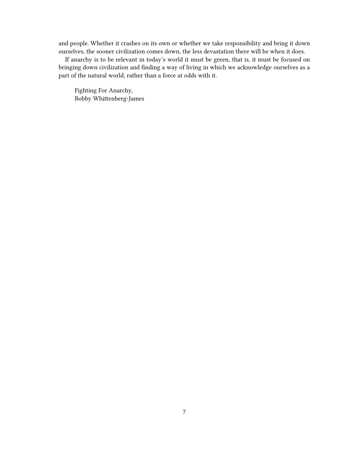and people. Whether it crashes on its own or whether we take responsibility and bring it down ourselves, the sooner civilization comes down, the less devastation there will be when it does.

If anarchy is to be relevant in today's world it must be green, that is, it must be focused on bringing down civilization and finding a way of living in which we acknowledge ourselves as a part of the natural world, rather than a force at odds with it.

Fighting For Anarchy, Bobby Whittenberg-James